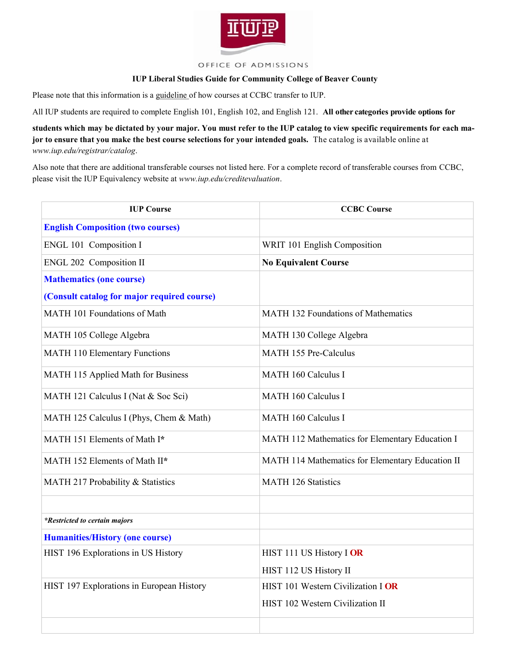

## OFFICE OF ADMISSIONS

## **IUP Liberal Studies Guide for Community College of Beaver County**

Please note that this information is a guideline of how courses at CCBC transfer to IUP.

All IUP students are required to complete English 101, English 102, and English 121. **All other categories provide options for** 

**students which may be dictated by your major. You must refer to the IUP catalog to view specific requirements for each major to ensure that you make the best course selections for your intended goals.** The catalog is available online at *www.iup.edu/registrar/catalog*.

Also note that there are additional transferable courses not listed here. For a complete record of transferable courses from CCBC, please visit the IUP Equivalency website at *www.iup.edu/creditevaluation*.

| <b>IUP Course</b>                           | <b>CCBC Course</b>                               |
|---------------------------------------------|--------------------------------------------------|
| <b>English Composition (two courses)</b>    |                                                  |
| ENGL 101 Composition I                      | WRIT 101 English Composition                     |
| ENGL 202 Composition II                     | <b>No Equivalent Course</b>                      |
| <b>Mathematics (one course)</b>             |                                                  |
| (Consult catalog for major required course) |                                                  |
| MATH 101 Foundations of Math                | MATH 132 Foundations of Mathematics              |
| MATH 105 College Algebra                    | MATH 130 College Algebra                         |
| <b>MATH 110 Elementary Functions</b>        | <b>MATH 155 Pre-Calculus</b>                     |
| MATH 115 Applied Math for Business          | <b>MATH 160 Calculus I</b>                       |
| MATH 121 Calculus I (Nat & Soc Sci)         | <b>MATH 160 Calculus I</b>                       |
| MATH 125 Calculus I (Phys, Chem & Math)     | <b>MATH 160 Calculus I</b>                       |
| MATH 151 Elements of Math I*                | MATH 112 Mathematics for Elementary Education I  |
| MATH 152 Elements of Math II*               | MATH 114 Mathematics for Elementary Education II |
| MATH 217 Probability & Statistics           | <b>MATH 126 Statistics</b>                       |
|                                             |                                                  |
| <i>*Restricted to certain majors</i>        |                                                  |
| <b>Humanities/History (one course)</b>      |                                                  |
| HIST 196 Explorations in US History         | HIST 111 US History I OR                         |
|                                             | HIST 112 US History II                           |
| HIST 197 Explorations in European History   | HIST 101 Western Civilization I OR               |
|                                             | HIST 102 Western Civilization II                 |
|                                             |                                                  |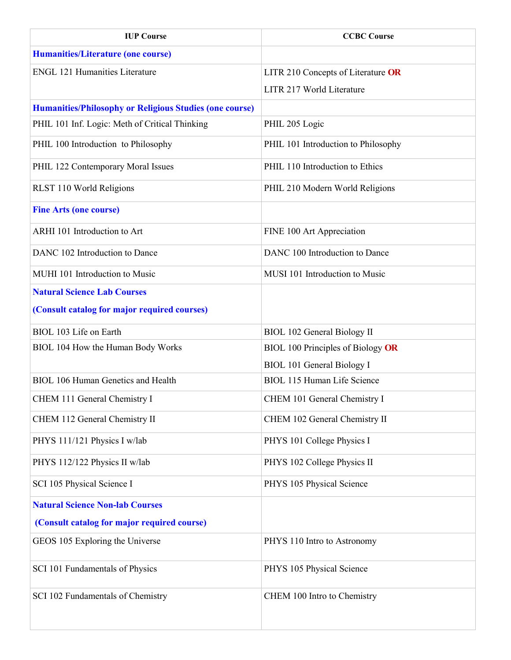| <b>IUP Course</b>                                              | <b>CCBC Course</b>                  |
|----------------------------------------------------------------|-------------------------------------|
| <b>Humanities/Literature (one course)</b>                      |                                     |
| <b>ENGL 121 Humanities Literature</b>                          | LITR 210 Concepts of Literature OR  |
|                                                                | LITR 217 World Literature           |
| <b>Humanities/Philosophy or Religious Studies (one course)</b> |                                     |
| PHIL 101 Inf. Logic: Meth of Critical Thinking                 | PHIL 205 Logic                      |
| PHIL 100 Introduction to Philosophy                            | PHIL 101 Introduction to Philosophy |
| PHIL 122 Contemporary Moral Issues                             | PHIL 110 Introduction to Ethics     |
| RLST 110 World Religions                                       | PHIL 210 Modern World Religions     |
| <b>Fine Arts (one course)</b>                                  |                                     |
| ARHI 101 Introduction to Art                                   | FINE 100 Art Appreciation           |
| DANC 102 Introduction to Dance                                 | DANC 100 Introduction to Dance      |
| MUHI 101 Introduction to Music                                 | MUSI 101 Introduction to Music      |
| <b>Natural Science Lab Courses</b>                             |                                     |
| (Consult catalog for major required courses)                   |                                     |
| BIOL 103 Life on Earth                                         | <b>BIOL 102 General Biology II</b>  |
| BIOL 104 How the Human Body Works                              | BIOL 100 Principles of Biology OR   |
|                                                                | <b>BIOL 101 General Biology I</b>   |
| <b>BIOL 106 Human Genetics and Health</b>                      | <b>BIOL 115 Human Life Science</b>  |
| CHEM 111 General Chemistry I                                   | CHEM 101 General Chemistry I        |
| CHEM 112 General Chemistry II                                  | CHEM 102 General Chemistry II       |
| PHYS 111/121 Physics I w/lab                                   | PHYS 101 College Physics I          |
| PHYS 112/122 Physics II w/lab                                  | PHYS 102 College Physics II         |
| SCI 105 Physical Science I                                     | PHYS 105 Physical Science           |
| <b>Natural Science Non-lab Courses</b>                         |                                     |
| (Consult catalog for major required course)                    |                                     |
| GEOS 105 Exploring the Universe                                | PHYS 110 Intro to Astronomy         |
| SCI 101 Fundamentals of Physics                                | PHYS 105 Physical Science           |
| SCI 102 Fundamentals of Chemistry                              | CHEM 100 Intro to Chemistry         |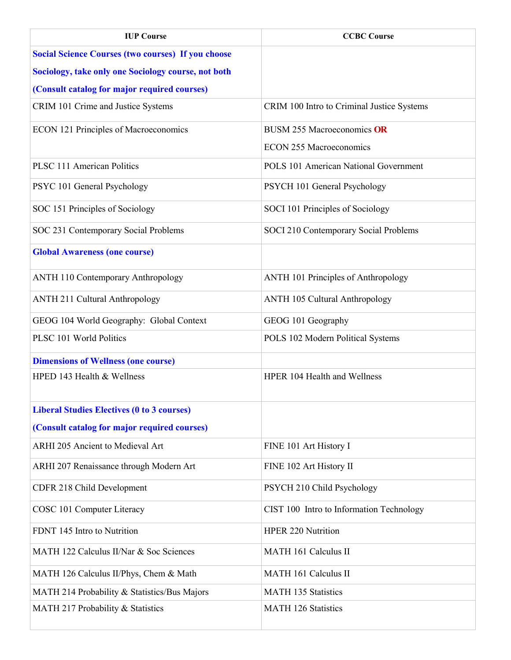| <b>IUP Course</b>                                         | <b>CCBC Course</b>                           |
|-----------------------------------------------------------|----------------------------------------------|
| <b>Social Science Courses (two courses) If you choose</b> |                                              |
| Sociology, take only one Sociology course, not both       |                                              |
| (Consult catalog for major required courses)              |                                              |
| CRIM 101 Crime and Justice Systems                        | CRIM 100 Intro to Criminal Justice Systems   |
| ECON 121 Principles of Macroeconomics                     | <b>BUSM 255 Macroeconomics OR</b>            |
|                                                           | <b>ECON 255 Macroeconomics</b>               |
| <b>PLSC 111 American Politics</b>                         | <b>POLS 101 American National Government</b> |
| PSYC 101 General Psychology                               | PSYCH 101 General Psychology                 |
| SOC 151 Principles of Sociology                           | SOCI 101 Principles of Sociology             |
| SOC 231 Contemporary Social Problems                      | SOCI 210 Contemporary Social Problems        |
| <b>Global Awareness (one course)</b>                      |                                              |
| <b>ANTH 110 Contemporary Anthropology</b>                 | ANTH 101 Principles of Anthropology          |
| <b>ANTH 211 Cultural Anthropology</b>                     | <b>ANTH 105 Cultural Anthropology</b>        |
| GEOG 104 World Geography: Global Context                  | GEOG 101 Geography                           |
| PLSC 101 World Politics                                   | POLS 102 Modern Political Systems            |
| <b>Dimensions of Wellness (one course)</b>                |                                              |
| HPED 143 Health & Wellness                                | HPER 104 Health and Wellness                 |
| <b>Liberal Studies Electives (0 to 3 courses)</b>         |                                              |
| (Consult catalog for major required courses)              |                                              |
| ARHI 205 Ancient to Medieval Art                          | FINE 101 Art History I                       |
| ARHI 207 Renaissance through Modern Art                   | FINE 102 Art History II                      |
| CDFR 218 Child Development                                | PSYCH 210 Child Psychology                   |
| COSC 101 Computer Literacy                                | CIST 100 Intro to Information Technology     |
| FDNT 145 Intro to Nutrition                               | <b>HPER 220 Nutrition</b>                    |
| MATH 122 Calculus II/Nar & Soc Sciences                   | <b>MATH 161 Calculus II</b>                  |
| MATH 126 Calculus II/Phys, Chem & Math                    | <b>MATH 161 Calculus II</b>                  |
| MATH 214 Probability & Statistics/Bus Majors              | <b>MATH 135 Statistics</b>                   |
| MATH 217 Probability & Statistics                         | <b>MATH 126 Statistics</b>                   |